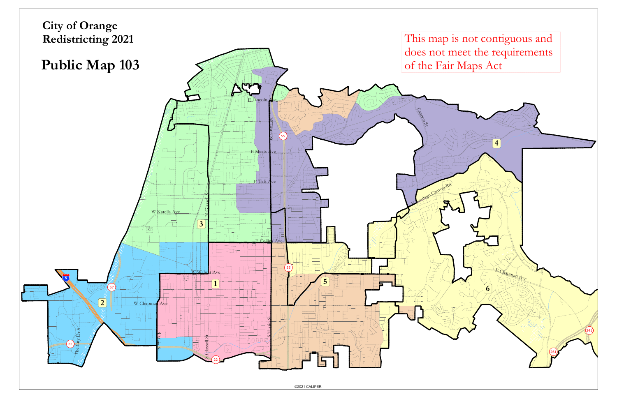